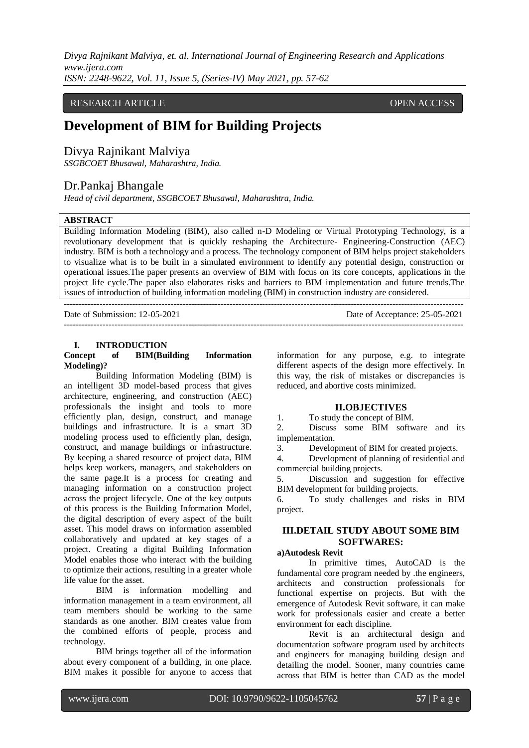## RESEARCH ARTICLE OPEN ACCESS

# **Development of BIM for Building Projects**

# Divya Rajnikant Malviya

*SSGBCOET Bhusawal, Maharashtra, India.*

# Dr.Pankaj Bhangale

*Head of civil department, SSGBCOET Bhusawal, Maharashtra, India.*

#### **ABSTRACT**

Building Information Modeling (BIM), also called n-D Modeling or Virtual Prototyping Technology, is a revolutionary development that is quickly reshaping the Architecture- Engineering-Construction (AEC) industry. BIM is both a technology and a process. The technology component of BIM helps project stakeholders to visualize what is to be built in a simulated environment to identify any potential design, construction or operational issues.The paper presents an overview of BIM with focus on its core concepts, applications in the project life cycle.The paper also elaborates risks and barriers to BIM implementation and future trends.The issues of introduction of building information modeling (BIM) in construction industry are considered.

--------------------------------------------------------------------------------------------------------------------------------------- Date of Submission: 12-05-2021 Date of Acceptance: 25-05-2021 ---------------------------------------------------------------------------------------------------------------------------------------

## **I. INTRODUCTION**

#### **Concept of BIM(Building Information Modeling)?**

Building Information Modeling (BIM) is an intelligent 3D model-based process that gives architecture, engineering, and construction (AEC) professionals the insight and tools to more efficiently plan, design, construct, and manage buildings and infrastructure. It is a smart 3D modeling process used to efficiently plan, design, construct, and manage buildings or infrastructure. By keeping a shared resource of project data, BIM helps keep workers, managers, and stakeholders on the same page.It is a process for creating and managing information on a construction project across the project lifecycle. One of the key outputs of this process is the Building Information Model, the digital description of every aspect of the built asset. This model draws on information assembled collaboratively and updated at key stages of a project. Creating a digital Building Information Model enables those who interact with the building to optimize their actions, resulting in a greater whole life value for the asset.

BIM is information modelling and information management in a team environment, all team members should be working to the same standards as one another. BIM creates value from the combined efforts of people, process and technology.

BIM brings together all of the information about every component of a building, in one place. BIM makes it possible for anyone to access that information for any purpose, e.g. to integrate different aspects of the design more effectively. In this way, the risk of mistakes or discrepancies is reduced, and abortive costs minimized.

#### **II.OBJECTIVES**

1. To study the concept of BIM.

2. Discuss some BIM software and its implementation.

3. Development of BIM for created projects.

4. Development of planning of residential and commercial building projects.

5. Discussion and suggestion for effective BIM development for building projects.

6. To study challenges and risks in BIM project.

## **III.DETAIL STUDY ABOUT SOME BIM SOFTWARES:**

#### **a)Autodesk Revit**

In primitive times, AutoCAD is the fundamental core program needed by .the engineers, architects and construction professionals for functional expertise on projects. But with the emergence of Autodesk Revit software, it can make work for professionals easier and create a better environment for each discipline.

Revit is an architectural design and documentation software program used by architects and engineers for managing building design and detailing the model. Sooner, many countries came across that BIM is better than CAD as the model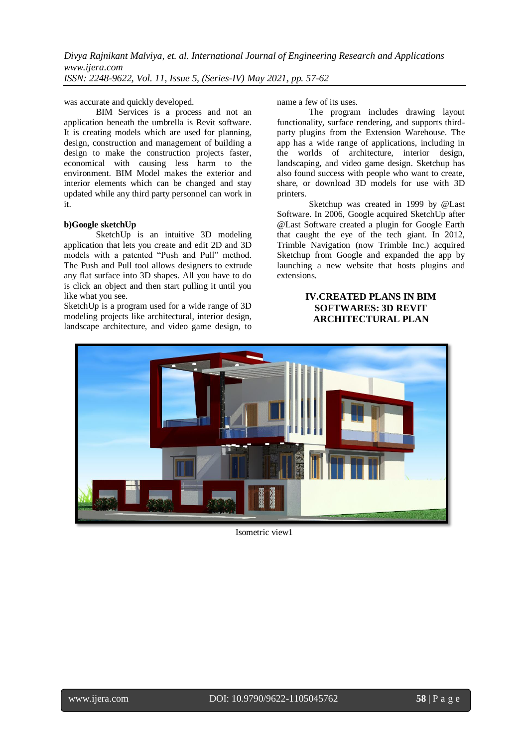was accurate and quickly developed.

[BIM Services i](https://www.bimservicesindia.com/)s a process and not an application beneath the umbrella is Revit software. It is creating models which are used for planning, design, construction and management of building a design to make the construction projects faster, economical with causing less harm to the environment. BIM Model makes the exterior and interior elements which can be changed and stay updated while any third party personnel can work in it.

#### **b)Google sketchUp**

SketchUp is an intuitive 3D modeling application that lets you create and edit 2D and 3D models with a patented "Push and Pull" method. The Push and Pull tool allows designers to extrude any flat surface into 3D shapes. All you have to do is click an object and then start pulling it until you like what you see.

SketchUp is a program used for a wide range of 3D modeling projects like architectural, interior design, landscape architecture, and video game design, to name a few of its uses.

The program includes drawing layout functionality, surface rendering, and supports thirdparty plugins from the [Extension Warehouse.](https://extensions.sketchup.com/) The app has a wide range of applications, including in the worlds of architecture, interior design, landscaping, and video game design. Sketchup has also found success with people who want to create, share, or download 3D models for use with 3D printers.

Sketchup was created in 1999 by @Last Software. In 2006, Google acquired SketchUp after @Last Software created a plugin for Google Earth that caught the eye of the tech giant. In 2012, Trimble Navigation (now Trimble Inc.) acquired Sketchup from Google and expanded the app by launching a new website that hosts plugins and extensions.

## **IV.CREATED PLANS IN BIM SOFTWARES: 3D REVIT ARCHITECTURAL PLAN**



Isometric view1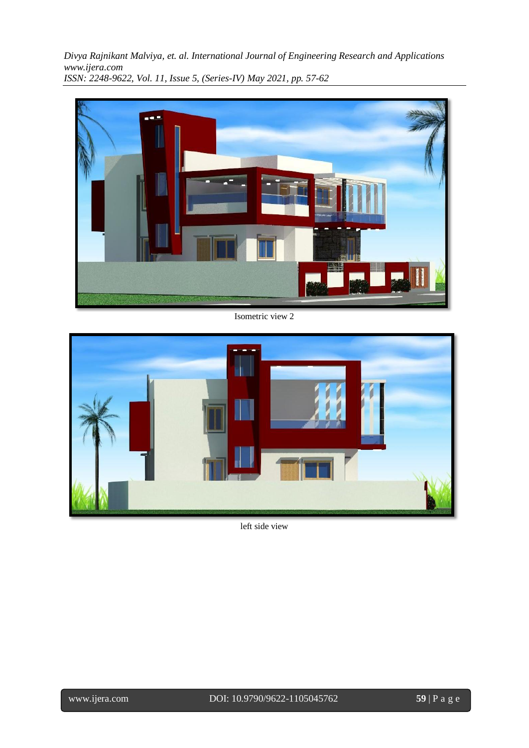

Isometric view 2



left side view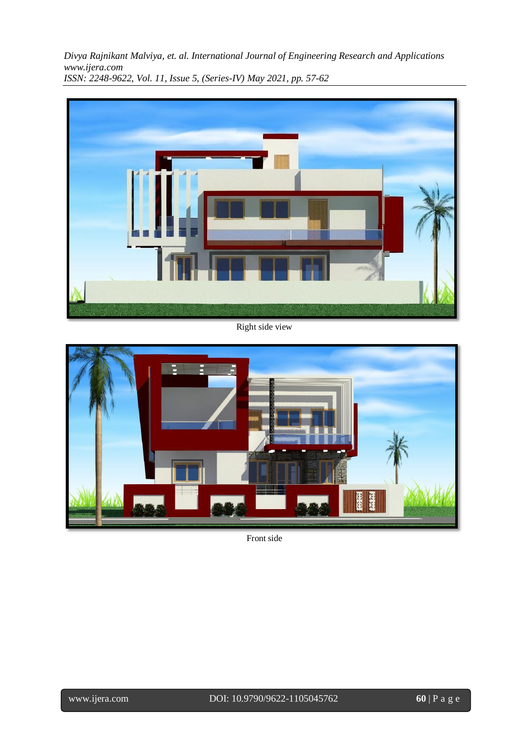

Right side view



Front side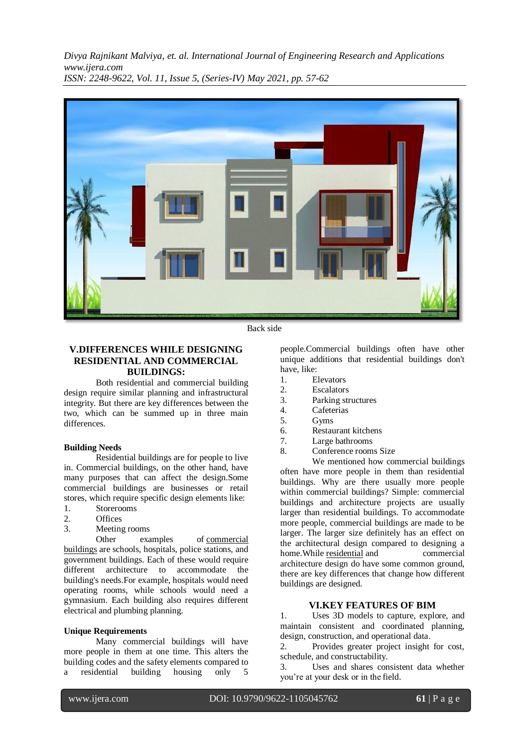

Back side

#### **V.DIFFERENCES WHILE DESIGNING RESIDENTIAL AND COMMERCIAL BUILDINGS:**

Both residential and commercial building design require similar planning and infrastructural integrity. But there are key differences between the two, which can be summed up in three main differences.

#### **Building Needs**

Residential buildings are for people to live in. Commercial buildings, on the other hand, have many purposes that can affect the design.Some commercial buildings are businesses or retail stores, which require specific design elements like:

- 1. Storerooms
- 2. Offices
- 3. Meeting rooms

Other examples of commercial [buildings](https://www.designblendz.com/blog/a-commercial-real-estate-business-plan-that-works-for-you) are schools, hospitals, police stations, and government buildings. Each of these would require different architecture to accommodate the building's needs.For example, hospitals would need operating rooms, while schools would need a gymnasium. Each building also requires different electrical and plumbing planning.

#### **Unique Requirements**

Many commercial buildings will have more people in them at one time. This alters the building codes and the safety elements compared to a residential building housing only 5

people.Commercial buildings often have other unique additions that residential buildings don't have, like:

- 1. Elevators
- 2. Escalators
- 3. Parking structures
- 4. Cafeterias
- 5. Gyms
- 6. Restaurant kitchens
- 7. Large bathrooms
- 8. Conference rooms Size

We mentioned how commercial buildings often have more people in them than residential buildings. Why are there usually more people within commercial buildings? Simple: commercial buildings and architecture projects are usually larger than residential buildings. To accommodate more people, commercial buildings are made to be larger. The larger size definitely has an effect on the architectural design compared to designing a home. While [residential](https://www.designblendz.com/services/residential-construction) and commercial architecture design do have some common ground, there are key differences that change how different buildings are designed.

#### **VI.KEY FEATURES OF BIM**

1. Uses 3D models to capture, explore, and maintain consistent and coordinated planning, design, construction, and operational data.

2. Provides greater project insight for cost, schedule, and constructability.

3. Uses and shares consistent data whether you're at your desk or in the field.